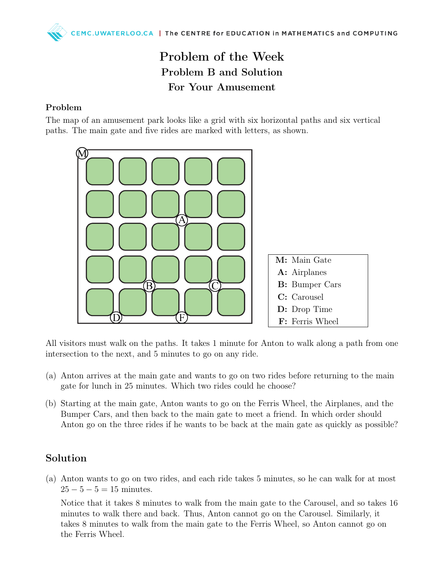## Problem of the Week Problem B and Solution For Your Amusement

## Problem

The map of an amusement park looks like a grid with six horizontal paths and six vertical paths. The main gate and five rides are marked with letters, as shown.



All visitors must walk on the paths. It takes 1 minute for Anton to walk along a path from one intersection to the next, and 5 minutes to go on any ride.

- (a) Anton arrives at the main gate and wants to go on two rides before returning to the main gate for lunch in 25 minutes. Which two rides could he choose?
- (b) Starting at the main gate, Anton wants to go on the Ferris Wheel, the Airplanes, and the Bumper Cars, and then back to the main gate to meet a friend. In which order should Anton go on the three rides if he wants to be back at the main gate as quickly as possible?

## Solution

(a) Anton wants to go on two rides, and each ride takes 5 minutes, so he can walk for at most  $25 - 5 - 5 = 15$  minutes.

Notice that it takes 8 minutes to walk from the main gate to the Carousel, and so takes 16 minutes to walk there and back. Thus, Anton cannot go on the Carousel. Similarly, it takes 8 minutes to walk from the main gate to the Ferris Wheel, so Anton cannot go on the Ferris Wheel.